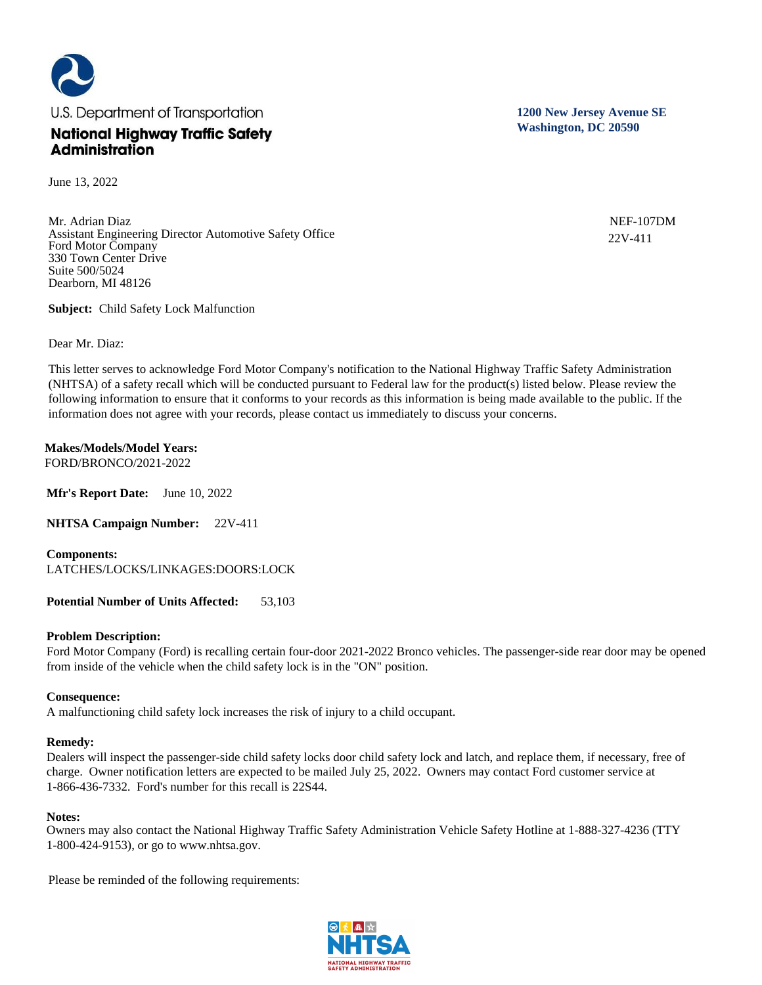

June 13, 2022

Mr. Adrian Diaz Assistant Engineering Director Automotive Safety Office Ford Motor Company 330 Town Center Drive Suite 500/5024 Dearborn, MI 48126

**Subject:** Child Safety Lock Malfunction

Dear Mr. Diaz:

This letter serves to acknowledge Ford Motor Company's notification to the National Highway Traffic Safety Administration (NHTSA) of a safety recall which will be conducted pursuant to Federal law for the product(s) listed below. Please review the following information to ensure that it conforms to your records as this information is being made available to the public. If the information does not agree with your records, please contact us immediately to discuss your concerns.

**Makes/Models/Model Years:**  FORD/BRONCO/2021-2022

**Mfr's Report Date:** June 10, 2022

**NHTSA Campaign Number:** 22V-411

**Components:**  LATCHES/LOCKS/LINKAGES:DOORS:LOCK

**Potential Number of Units Affected:** 53,103

## **Problem Description:**

Ford Motor Company (Ford) is recalling certain four-door 2021-2022 Bronco vehicles. The passenger-side rear door may be opened from inside of the vehicle when the child safety lock is in the "ON" position.

## **Consequence:**

A malfunctioning child safety lock increases the risk of injury to a child occupant.

## **Remedy:**

Dealers will inspect the passenger-side child safety locks door child safety lock and latch, and replace them, if necessary, free of charge. Owner notification letters are expected to be mailed July 25, 2022. Owners may contact Ford customer service at 1-866-436-7332. Ford's number for this recall is 22S44.

## **Notes:**

Owners may also contact the National Highway Traffic Safety Administration Vehicle Safety Hotline at 1-888-327-4236 (TTY 1-800-424-9153), or go to www.nhtsa.gov.

Please be reminded of the following requirements:



**1200 New Jersey Avenue SE Washington, DC 20590**

> NEF-107DM 22V-411